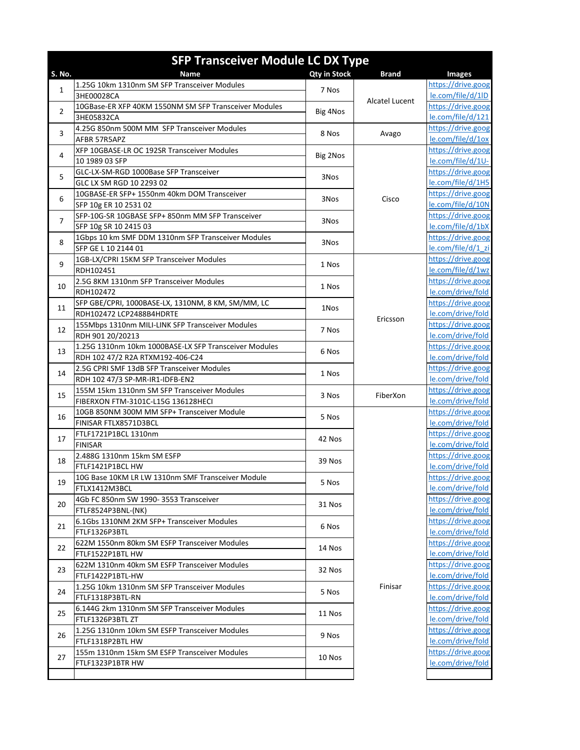|                | <b>SFP Transceiver Module LC DX Type</b>                                  |                     |                |                                          |  |
|----------------|---------------------------------------------------------------------------|---------------------|----------------|------------------------------------------|--|
| S. No.         | Name                                                                      | <b>Qty in Stock</b> | <b>Brand</b>   | <b>Images</b>                            |  |
|                | 1.25G 10km 1310nm SM SFP Transceiver Modules                              |                     |                | https://drive.goog                       |  |
| $\mathbf{1}$   | 3HE00028CA                                                                | 7 Nos               |                | le.com/file/d/1lD                        |  |
| 2              | 10GBase-ER XFP 40KM 1550NM SM SFP Transceiver Modules                     | Big 4Nos            | Alcatel Lucent | https://drive.goog                       |  |
|                | 3HE05832CA                                                                |                     |                | le.com/file/d/121                        |  |
| 3              | 4.25G 850nm 500M MM SFP Transceiver Modules                               | 8 Nos               | Avago          | https://drive.goog                       |  |
|                | AFBR 57R5APZ                                                              |                     |                | le.com/file/d/1ox                        |  |
| 4              | XFP 10GBASE-LR OC 192SR Transceiver Modules                               | Big 2Nos            |                | https://drive.goog                       |  |
|                | 10 1989 03 SFP                                                            |                     |                | le.com/file/d/1U-                        |  |
| 5              | GLC-LX-SM-RGD 1000Base SFP Transceiver                                    | 3Nos                |                | https://drive.goog                       |  |
|                | GLC LX SM RGD 10 2293 02                                                  |                     |                | le.com/file/d/1H5                        |  |
| 6              | 10GBASE-ER SFP+ 1550nm 40km DOM Transceiver                               | 3Nos                | Cisco          | https://drive.goog                       |  |
|                | SFP 10g ER 10 2531 02                                                     |                     |                | le.com/file/d/10N                        |  |
| $\overline{7}$ | SFP-10G-SR 10GBASE SFP+ 850nm MM SFP Transceiver                          | 3Nos                |                | https://drive.goog                       |  |
|                | SFP 10g SR 10 2415 03                                                     |                     |                | le.com/file/d/1bX                        |  |
| 8              | 1Gbps 10 km SMF DDM 1310nm SFP Transceiver Modules<br>SFP GE L 10 2144 01 | 3Nos                |                | https://drive.goog                       |  |
|                | 1GB-LX/CPRI 15KM SFP Transceiver Modules                                  |                     |                | le.com/file/d/1 zi<br>https://drive.goog |  |
| 9              | RDH102451                                                                 | 1 Nos               |                | le.com/file/d/1wz                        |  |
|                | 2.5G 8KM 1310nm SFP Transceiver Modules                                   |                     |                | https://drive.goog                       |  |
| 10             | RDH102472                                                                 | 1 Nos               |                | le.com/drive/fold                        |  |
|                | SFP GBE/CPRI, 1000BASE-LX, 1310NM, 8 KM, SM/MM, LC                        |                     |                | https://drive.goog                       |  |
| 11             | RDH102472 LCP2488B4HDRTE                                                  | 1Nos                |                | le.com/drive/fold                        |  |
|                | 155Mbps 1310nm MILI-LINK SFP Transceiver Modules                          |                     | Ericsson       | https://drive.goog                       |  |
| 12             | RDH 901 20/20213                                                          | 7 Nos               |                | le.com/drive/fold                        |  |
|                | 1.25G 1310nm 10km 1000BASE-LX SFP Transceiver Modules                     |                     |                | https://drive.goog                       |  |
| 13             | RDH 102 47/2 R2A RTXM192-406-C24                                          | 6 Nos               |                | le.com/drive/fold                        |  |
|                | 2.5G CPRI SMF 13dB SFP Transceiver Modules                                |                     |                | https://drive.goog                       |  |
| 14             | RDH 102 47/3 SP-MR-IR1-IDFB-EN2                                           | 1 Nos               |                | le.com/drive/fold                        |  |
| 15             | 155M 15km 1310nm SM SFP Transceiver Modules                               | 3 Nos               | FiberXon       | https://drive.goog                       |  |
|                | FIBERXON FTM-3101C-L15G 136128HECI                                        |                     |                | le.com/drive/fold                        |  |
| 16             | 10GB 850NM 300M MM SFP+ Transceiver Module                                | 5 Nos               |                | https://drive.goog                       |  |
|                | FINISAR FTLX8571D3BCL                                                     |                     |                | le.com/drive/fold                        |  |
| 17             | FTLF1721P1BCL 1310nm                                                      | 42 Nos              |                | https://drive.goog                       |  |
|                | <b>FINISAR</b>                                                            |                     |                | le.com/drive/fold                        |  |
| 18             | 2.488G 1310nm 15km SM ESFP                                                | 39 Nos              |                | https://drive.goog                       |  |
|                | FTLF1421P1BCL HW                                                          |                     |                | le.com/drive/fold                        |  |
| 19             | 10G Base 10KM LR LW 1310nm SMF Transceiver Module                         | 5 Nos               |                | https://drive.goog                       |  |
|                | FTLX1412M3BCL                                                             |                     |                | le.com/drive/fold                        |  |
| 20             | 4Gb FC 850nm SW 1990- 3553 Transceiver                                    | 31 Nos              |                | https://drive.goog                       |  |
|                | FTLF8524P3BNL-(NK)<br>6.1Gbs 1310NM 2KM SFP+ Transceiver Modules          |                     |                | le.com/drive/fold<br>https://drive.goog  |  |
| 21             | FTLF1326P3BTL                                                             | 6 Nos               |                | le.com/drive/fold                        |  |
|                | 622M 1550nm 80km SM ESFP Transceiver Modules                              |                     |                | https://drive.goog                       |  |
| 22             | FTLF1522P1BTL HW                                                          | 14 Nos              |                | le.com/drive/fold                        |  |
|                | 622M 1310nm 40km SM ESFP Transceiver Modules                              |                     |                | https://drive.goog                       |  |
| 23             | FTLF1422P1BTL-HW                                                          | 32 Nos              |                | le.com/drive/fold                        |  |
|                | 1.25G 10km 1310nm SM SFP Transceiver Modules                              |                     | Finisar        | https://drive.goog                       |  |
| 24             | FTLF1318P3BTL-RN                                                          | 5 Nos               |                | le.com/drive/fold                        |  |
| 25<br>26       | 6.144G 2km 1310nm SM SFP Transceiver Modules                              |                     |                | https://drive.goog                       |  |
|                | FTLF1326P3BTL ZT                                                          | 11 Nos              |                | le.com/drive/fold                        |  |
|                | 1.25G 1310nm 10km SM ESFP Transceiver Modules                             |                     |                | https://drive.goog                       |  |
|                | FTLF1318P2BTL HW                                                          | 9 Nos               |                |                                          |  |
| 27             | 155m 1310nm 15km SM ESFP Transceiver Modules                              | 10 Nos              |                | https://drive.goog                       |  |
|                | FTLF1323P1BTR HW                                                          |                     |                | le.com/drive/fold                        |  |
|                |                                                                           |                     |                |                                          |  |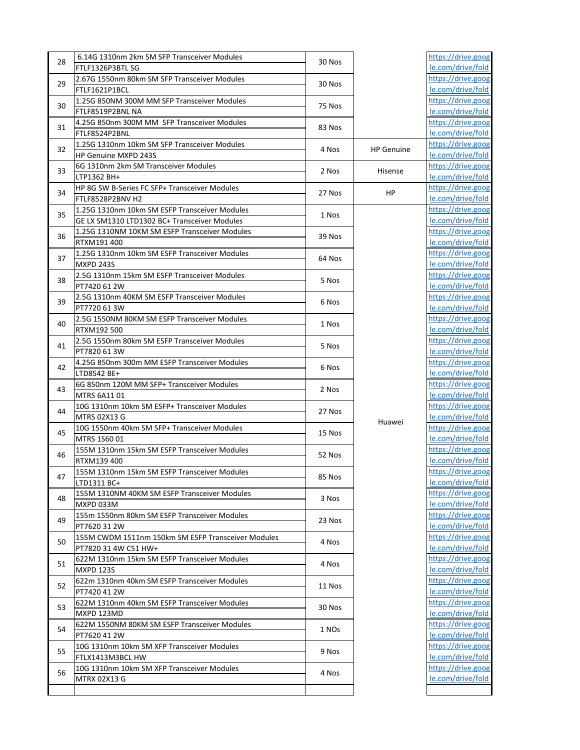| 28 | 6.14G 1310nm 2km SM SFP Transceiver Modules                                                   | 30 Nos |                   | https://drive.goog                      |
|----|-----------------------------------------------------------------------------------------------|--------|-------------------|-----------------------------------------|
|    | FTLF1326P3BTL SG                                                                              |        |                   | le.com/drive/fold                       |
| 29 | 2.67G 1550nm 80km SM SFP Transceiver Modules                                                  | 30 Nos |                   | https://drive.goog                      |
|    | FTLF1621P1BCL                                                                                 |        |                   | le.com/drive/fold                       |
| 30 | 1.25G 850NM 300M MM SFP Transceiver Modules                                                   | 75 Nos |                   | https://drive.goog                      |
|    | FTLF8519P2BNL NA                                                                              |        |                   | le.com/drive/fold                       |
| 31 | 4.25G 850nm 300M MM SFP Transceiver Modules                                                   | 83 Nos |                   | https://drive.goog                      |
|    | FTLF8524P2BNL                                                                                 |        |                   | le.com/drive/fold                       |
| 32 | 1.25G 1310nm 10km SM SFP Transceiver Modules                                                  | 4 Nos  | <b>HP Genuine</b> | https://drive.goog                      |
|    | HP Genuine MXPD 243S                                                                          |        |                   | le.com/drive/fold                       |
| 33 | 6G 1310nm 2km SM Transceiver Modules                                                          | 2 Nos  | Hisense           | https://drive.goog                      |
|    | LTP1362 BH+                                                                                   |        |                   | le.com/drive/fold                       |
| 34 | HP 8G SW B-Series FC SFP+ Transceiver Modules                                                 | 27 Nos | HP                | https://drive.goog                      |
|    | FTLF8528P2BNV H2                                                                              |        |                   | le.com/drive/fold                       |
| 35 | 1.25G 1310nm 10km SM ESFP Transceiver Modules                                                 | 1 Nos  |                   | https://drive.goog                      |
|    | GE LX SM1310 LTD1302 BC+ Transceiver Modules<br>1.25G 1310NM 10KM SM ESFP Transceiver Modules |        |                   | le.com/drive/fold<br>https://drive.goog |
| 36 | RTXM191 400                                                                                   | 39 Nos |                   | le.com/drive/fold                       |
|    | 1.25G 1310nm 10km SM ESFP Transceiver Modules                                                 |        |                   | https://drive.goog                      |
| 37 | <b>MXPD 243S</b>                                                                              | 64 Nos |                   | le.com/drive/fold                       |
|    | 2.5G 1310nm 15km SM ESFP Transceiver Modules                                                  |        |                   | https://drive.goog                      |
| 38 | PT7420 61 2W                                                                                  | 5 Nos  |                   | le.com/drive/fold                       |
|    | 2.5G 1310nm 40KM SM ESFP Transceiver Modules                                                  |        |                   | https://drive.goog                      |
| 39 | PT7720 61 3W                                                                                  | 6 Nos  |                   | le.com/drive/fold                       |
|    | 2.5G 1550NM 80KM SM ESFP Transceiver Modules                                                  |        |                   | https://drive.goog                      |
| 40 | RTXM192 500                                                                                   | 1 Nos  |                   | le.com/drive/fold                       |
|    | 2.5G 1550nm 80km SM ESFP Transceiver Modules                                                  |        |                   | https://drive.goog                      |
| 41 | PT7820 61 3W                                                                                  | 5 Nos  |                   | le.com/drive/fold                       |
|    | 4.25G 850nm 300m MM ESFP Transceiver Modules                                                  |        |                   | https://drive.goog                      |
| 42 | LTD8542 BE+                                                                                   | 6 Nos  |                   | le.com/drive/fold                       |
|    | 6G 850nm 120M MM SFP+ Transceiver Modules                                                     |        |                   | https://drive.goog                      |
| 43 | MTRS 6A11 01                                                                                  | 2 Nos  |                   | le.com/drive/fold                       |
|    | 10G 1310nm 10km SM ESFP+ Transceiver Modules                                                  |        |                   | https://drive.goog                      |
| 44 | MTRS 02X13 G                                                                                  | 27 Nos |                   | le.com/drive/fold                       |
| 45 | 10G 1550nm 40km SM SFP+ Transceiver Modules                                                   | 15 Nos | Huawei            | https://drive.goog                      |
|    | MTRS 1S60 01                                                                                  |        |                   | le.com/drive/fold                       |
| 46 | 155M 1310nm 15km SM ESFP Transceiver Modules                                                  | 52 Nos |                   | https://drive.goog                      |
|    | RTXM139 400                                                                                   |        |                   | le.com/drive/fold                       |
| 47 | 155M 1310nm 15km SM ESFP Transceiver Modules                                                  | 85 Nos |                   | https://drive.goog                      |
|    | LTD1311 BC+                                                                                   |        |                   | le.com/drive/fold                       |
| 48 | 155M 1310NM 40KM SM ESFP Transceiver Modules                                                  | 3 Nos  |                   | https://drive.goog                      |
|    | MXPD 033M                                                                                     |        |                   | le.com/drive/fold                       |
| 49 | 155m 1550nm 80km SM ESFP Transceiver Modules                                                  | 23 Nos |                   | https://drive.goog                      |
|    | PT7620 31 2W                                                                                  |        |                   | le.com/drive/fold                       |
| 50 | 155M CWDM 1511nm 150km SM ESFP Transceiver Modules                                            | 4 Nos  |                   | https://drive.goog                      |
|    | PT7820 31 4W C51 HW+                                                                          |        |                   | le.com/drive/fold                       |
| 51 | 622M 1310nm 15km SM ESFP Transceiver Modules                                                  | 4 Nos  |                   | https://drive.goog                      |
|    | <b>MXPD 123S</b>                                                                              |        |                   | le.com/drive/fold                       |
| 52 | 622m 1310nm 40km SM ESFP Transceiver Modules                                                  | 11 Nos |                   | https://drive.goog                      |
|    | PT7420 41 2W                                                                                  |        |                   | le.com/drive/fold                       |
| 53 | 622M 1310nm 40km SM ESFP Transceiver Modules                                                  | 30 Nos |                   | https://drive.goog                      |
|    | MXPD 123MD                                                                                    |        |                   | le.com/drive/fold                       |
| 54 | 622M 1550NM 80KM SM ESFP Transceiver Modules                                                  | 1 NOs  |                   | https://drive.goog                      |
|    | PT7620 41 2W                                                                                  |        |                   | le.com/drive/fold                       |
| 55 | 10G 1310nm 10km SM XFP Transceiver Modules                                                    | 9 Nos  |                   | https://drive.goog                      |
|    | FTLX1413M3BCL HW                                                                              |        |                   | le.com/drive/fold                       |
| 56 | 10G 1310nm 10km SM XFP Transceiver Modules                                                    | 4 Nos  |                   | https://drive.goog                      |
|    | MTRX 02X13 G                                                                                  |        |                   | le.com/drive/fold                       |
|    |                                                                                               |        |                   |                                         |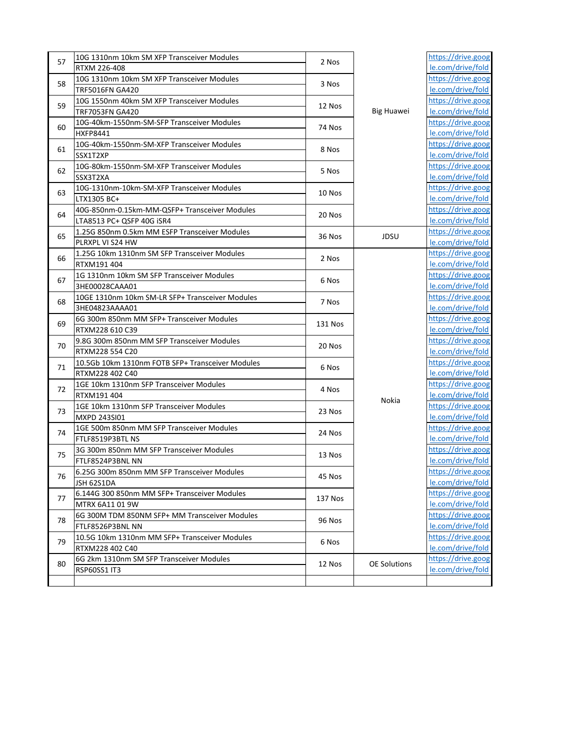| 57 | 10G 1310nm 10km SM XFP Transceiver Modules       | 2 Nos                                 |                     | https://drive.goog |                    |                    |
|----|--------------------------------------------------|---------------------------------------|---------------------|--------------------|--------------------|--------------------|
|    | RTXM 226-408                                     | 3 Nos                                 |                     | le.com/drive/fold  |                    |                    |
| 58 | 10G 1310nm 10km SM XFP Transceiver Modules       |                                       |                     | https://drive.goog |                    |                    |
|    | TRF5016FN GA420                                  |                                       |                     | le.com/drive/fold  |                    |                    |
| 59 | 10G 1550nm 40km SM XFP Transceiver Modules       |                                       |                     | https://drive.goog |                    |                    |
|    | TRF7053FN GA420                                  | 12 Nos                                | <b>Big Huawei</b>   | le.com/drive/fold  |                    |                    |
| 60 | 10G-40km-1550nm-SM-SFP Transceiver Modules       | 74 Nos                                |                     | https://drive.goog |                    |                    |
|    | HXFP8441                                         |                                       |                     | le.com/drive/fold  |                    |                    |
| 61 | 10G-40km-1550nm-SM-XFP Transceiver Modules       | 8 Nos                                 |                     | https://drive.goog |                    |                    |
|    | SSX1T2XP                                         |                                       |                     | le.com/drive/fold  |                    |                    |
| 62 | 10G-80km-1550nm-SM-XFP Transceiver Modules       | 5 Nos                                 |                     | https://drive.goog |                    |                    |
|    | SSX3T2XA                                         |                                       |                     | le.com/drive/fold  |                    |                    |
| 63 | 10G-1310nm-10km-SM-XFP Transceiver Modules       | 10 Nos                                |                     | https://drive.goog |                    |                    |
|    | LTX1305 BC+                                      |                                       |                     | le.com/drive/fold  |                    |                    |
| 64 | 40G-850nm-0.15km-MM-QSFP+ Transceiver Modules    |                                       |                     | https://drive.goog |                    |                    |
|    | LTA8513 PC+ QSFP 40G iSR4                        | 20 Nos                                |                     | le.com/drive/fold  |                    |                    |
|    | 1.25G 850nm 0.5km MM ESFP Transceiver Modules    |                                       |                     | https://drive.goog |                    |                    |
| 65 | PLRXPL VI S24 HW                                 | 36 Nos                                | JDSU                | le.com/drive/fold  |                    |                    |
|    | 1.25G 10km 1310nm SM SFP Transceiver Modules     |                                       |                     | https://drive.goog |                    |                    |
| 66 | RTXM191 404                                      | 2 Nos                                 |                     | le.com/drive/fold  |                    |                    |
|    | 1G 1310nm 10km SM SFP Transceiver Modules        |                                       |                     | https://drive.goog |                    |                    |
| 67 | 3HE00028CAAA01                                   | 6 Nos                                 |                     | le.com/drive/fold  |                    |                    |
|    | 10GE 1310nm 10km SM-LR SFP+ Transceiver Modules  |                                       |                     | https://drive.goog |                    |                    |
| 68 | 3HE04823AAAA01                                   | 7 Nos                                 |                     | le.com/drive/fold  |                    |                    |
|    | 6G 300m 850nm MM SFP+ Transceiver Modules        |                                       |                     | https://drive.goog |                    |                    |
| 69 | RTXM228 610 C39                                  | <b>131 Nos</b>                        |                     | le.com/drive/fold  |                    |                    |
|    | 9.8G 300m 850nm MM SFP Transceiver Modules       |                                       |                     | https://drive.goog |                    |                    |
| 70 | RTXM228 554 C20                                  | 20 Nos                                |                     | le.com/drive/fold  |                    |                    |
|    | 10.5Gb 10km 1310nm FOTB SFP+ Transceiver Modules | 6 Nos                                 |                     | https://drive.goog |                    |                    |
| 71 | RTXM228 402 C40                                  |                                       |                     | le.com/drive/fold  |                    |                    |
| 72 | 1GE 10km 1310nm SFP Transceiver Modules          | 4 Nos                                 |                     |                    | https://drive.goog |                    |
|    | RTXM191 404                                      |                                       |                     |                    | le.com/drive/fold  |                    |
|    | 1GE 10km 1310nm SFP Transceiver Modules          |                                       |                     |                    | Nokia              | https://drive.goog |
| 73 | MXPD 243SI01                                     | 23 Nos                                |                     | le.com/drive/fold  |                    |                    |
|    | 1GE 500m 850nm MM SFP Transceiver Modules        |                                       |                     |                    | https://drive.goog |                    |
| 74 | FTLF8519P3BTL NS                                 | 24 Nos                                |                     |                    | le.com/drive/fold  |                    |
|    | 3G 300m 850nm MM SFP Transceiver Modules         |                                       |                     |                    | https://drive.goog |                    |
| 75 | FTLF8524P3BNL NN                                 | 13 Nos<br>45 Nos<br>137 Nos<br>96 Nos |                     | le.com/drive/fold  |                    |                    |
| 76 | 6.25G 300m 850nm MM SFP Transceiver Modules      |                                       |                     |                    |                    | https://drive.goog |
|    | JSH 62S1DA                                       |                                       |                     | le.com/drive/fold  |                    |                    |
|    | 6.144G 300 850nm MM SFP+ Transceiver Modules     |                                       |                     |                    | https://drive.goog |                    |
| 77 | MTRX 6A11 01 9W                                  |                                       |                     | le.com/drive/fold  |                    |                    |
|    | 6G 300M TDM 850NM SFP+ MM Transceiver Modules    |                                       |                     | https://drive.goog |                    |                    |
| 78 | FTLF8526P3BNL NN                                 |                                       |                     |                    | le.com/drive/fold  |                    |
|    | 10.5G 10km 1310nm MM SFP+ Transceiver Modules    | 6 Nos                                 |                     | https://drive.goog |                    |                    |
| 79 | RTXM228 402 C40                                  |                                       |                     |                    | le.com/drive/fold  |                    |
|    | 6G 2km 1310nm SM SFP Transceiver Modules         | 12 Nos                                |                     |                    | https://drive.goog |                    |
| 80 | RSP60SS1 IT3                                     |                                       | <b>OE Solutions</b> | le.com/drive/fold  |                    |                    |
|    |                                                  |                                       |                     |                    |                    |                    |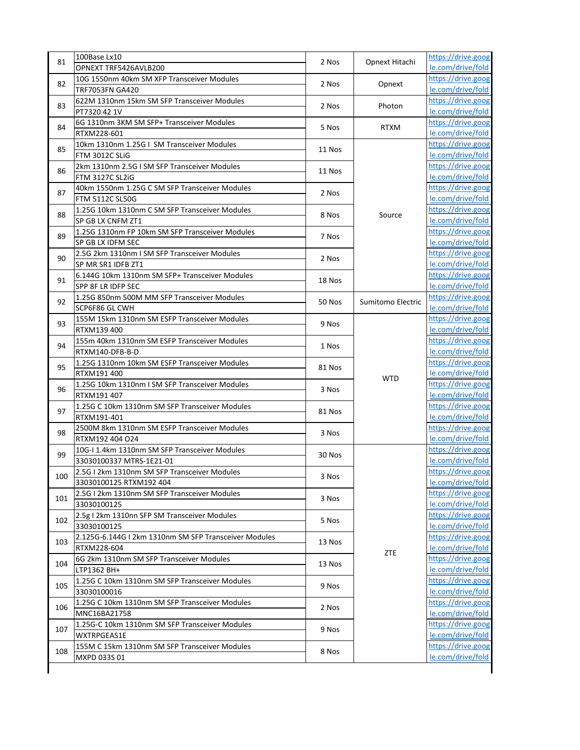| 81  | 100Base Lx10                                                            | 2 Nos                    | Opnext Hitachi    | https://drive.goog                      |                    |                   |
|-----|-------------------------------------------------------------------------|--------------------------|-------------------|-----------------------------------------|--------------------|-------------------|
|     | OPNEXT TRF5426AVLB200                                                   |                          |                   | le.com/drive/fold                       |                    |                   |
| 82  | 10G 1550nm 40km SM XFP Transceiver Modules                              | 2 Nos                    | Opnext            | https://drive.goog                      |                    |                   |
|     | <b>TRF7053FN GA420</b>                                                  |                          |                   | le.com/drive/fold                       |                    |                   |
| 83  | 622M 1310nm 15km SM SFP Transceiver Modules                             | 2 Nos                    | Photon            | https://drive.goog                      |                    |                   |
|     | PT7320 42 1V                                                            |                          |                   | le.com/drive/fold                       |                    |                   |
| 84  | 6G 1310nm 3KM SM SFP+ Transceiver Modules                               | 5 Nos                    | <b>RTXM</b>       | https://drive.goog                      |                    |                   |
|     | RTXM228-601                                                             |                          |                   | le.com/drive/fold                       |                    |                   |
| 85  | 10km 1310nm 1.25G I SM Transceiver Modules                              | 11 Nos                   |                   | https://drive.goog                      |                    |                   |
|     | FTM 3012C SLiG                                                          |                          |                   | le.com/drive/fold                       |                    |                   |
| 86  | 2km 1310nm 2.5G I SM SFP Transceiver Modules                            | 11 Nos                   |                   | https://drive.goog                      |                    |                   |
|     | <b>FTM 3127C SL2iG</b>                                                  |                          |                   | le.com/drive/fold                       |                    |                   |
| 87  | 40km 1550nm 1.25G C SM SFP Transceiver Modules                          | 2 Nos                    |                   | https://drive.goog                      |                    |                   |
|     | FTM 5112C SL50G                                                         |                          |                   | le.com/drive/fold                       |                    |                   |
| 88  | 1.25G 10km 1310nm C SM SFP Transceiver Modules                          | 8 Nos                    | Source            | https://drive.goog                      |                    |                   |
|     | SP GB LX CNFM ZT1                                                       |                          |                   | le.com/drive/fold                       |                    |                   |
| 89  | 1.25G 1310nm FP 10km SM SFP Transceiver Modules                         | 7 Nos                    |                   | https://drive.goog                      |                    |                   |
|     | SP GB LX IDFM SEC                                                       |                          |                   | le.com/drive/fold                       |                    |                   |
| 90  | 2.5G 2km 1310nm I SM SFP Transceiver Modules                            | 2 Nos                    |                   | https://drive.goog                      |                    |                   |
|     | SP MR SR1 IDFB ZT1                                                      |                          |                   | le.com/drive/fold                       |                    |                   |
| 91  | 6.144G 10km 1310nm SM SFP+ Transceiver Modules                          | 18 Nos                   |                   | https://drive.goog                      |                    |                   |
|     | SPP 8F LR IDFP SEC                                                      |                          |                   | le.com/drive/fold                       |                    |                   |
| 92  | 1.25G 850nm 500M MM SFP Transceiver Modules                             | 50 Nos                   | Sumitomo Electric | https://drive.goog                      |                    |                   |
|     | SCP6F86 GL CWH                                                          |                          |                   | le.com/drive/fold                       |                    |                   |
| 93  | 155M 15km 1310nm SM ESFP Transceiver Modules                            | 9 Nos                    |                   | https://drive.goog                      |                    |                   |
|     | RTXM139 400                                                             |                          |                   | le.com/drive/fold                       |                    |                   |
| 94  | 155m 40km 1310nm SM ESFP Transceiver Modules                            | 1 Nos                    |                   | https://drive.goog                      |                    |                   |
|     | RTXM140-DFB-B-D                                                         |                          |                   | le.com/drive/fold                       |                    |                   |
| 95  | 1.25G 1310nm 10km SM ESFP Transceiver Modules                           | 81 Nos                   |                   | https://drive.goog                      |                    |                   |
|     | RTXM191 400                                                             |                          | <b>WTD</b>        | le.com/drive/fold                       |                    |                   |
| 96  | 1.25G 10km 1310nm I SM SFP Transceiver Modules                          | 3 Nos                    |                   | https://drive.goog                      |                    |                   |
|     | RTXM191 407                                                             |                          |                   | le.com/drive/fold                       |                    |                   |
| 97  | 1.25G C 10km 1310nm SM SFP Transceiver Modules                          | 81 Nos                   |                   | https://drive.goog                      |                    |                   |
|     | RTXM191-401                                                             |                          |                   | le.com/drive/fold                       |                    |                   |
| 98  | 2500M 8km 1310nm SM ESFP Transceiver Modules                            | 3 Nos                    |                   | https://drive.goog                      |                    |                   |
|     | RTXM192 404 O24                                                         |                          |                   | le.com/drive/fold<br>https://drive.goog |                    |                   |
| 99  | 10G-I 1.4km 1310nm SM SFP Transceiver Modules                           | 30 Nos                   |                   | le.com/drive/fold                       |                    |                   |
|     | 33030100337 MTRS-1E21-01                                                |                          |                   | https://drive.goog                      |                    |                   |
| 100 | 2.5G I 2km 1310nm SM SFP Transceiver Modules<br>33030100125 RTXM192 404 | 3 Nos                    |                   | le.com/drive/fold                       |                    |                   |
|     | 2.5G I 2km 1310nm SM SFP Transceiver Modules                            |                          |                   | https://drive.goog                      |                    |                   |
| 101 | 33030100125                                                             | 3 Nos                    |                   | le.com/drive/fold                       |                    |                   |
|     | 2.5g I 2km 1310nn SFP SM Transceiver Modules                            |                          |                   | https://drive.goog                      |                    |                   |
| 102 |                                                                         | 5 Nos                    |                   | le.com/drive/fold                       |                    |                   |
|     | 33030100125<br>2.125G-6.144G I 2km 1310nm SM SFP Transceiver Modules    |                          |                   | https://drive.goog                      |                    |                   |
| 103 |                                                                         | 13 Nos                   |                   |                                         |                    |                   |
|     | RTXM228-604                                                             |                          | ZTE               | le.com/drive/fold<br>https://drive.goog |                    |                   |
| 104 | 6G 2km 1310nm SM SFP Transceiver Modules                                | 13 Nos<br>9 Nos<br>2 Nos |                   | le.com/drive/fold                       |                    |                   |
|     | LTP1362 BH+<br>1.25G C 10km 1310nm SM SFP Transceiver Modules           |                          |                   | https://drive.goog                      |                    |                   |
| 105 | 33030100016                                                             |                          |                   | le.com/drive/fold                       |                    |                   |
|     | 1.25G C 10km 1310nm SM SFP Transceiver Modules                          |                          |                   | https://drive.goog                      |                    |                   |
| 106 |                                                                         |                          |                   | le.com/drive/fold                       |                    |                   |
|     | MNC16BA21758<br>1.25G-C 10km 1310nm SM SFP Transceiver Modules          | 9 Nos                    |                   |                                         | https://drive.goog |                   |
| 107 |                                                                         |                          |                   |                                         |                    | le.com/drive/fold |
|     | WXTRPGEAS1E                                                             |                          |                   |                                         |                    |                   |
| 108 | 155M C 15km 1310nm SM SFP Transceiver Modules                           | 8 Nos                    |                   | https://drive.goog<br>le.com/drive/fold |                    |                   |
|     | MXPD 033S 01                                                            |                          |                   |                                         |                    |                   |
|     |                                                                         |                          |                   |                                         |                    |                   |